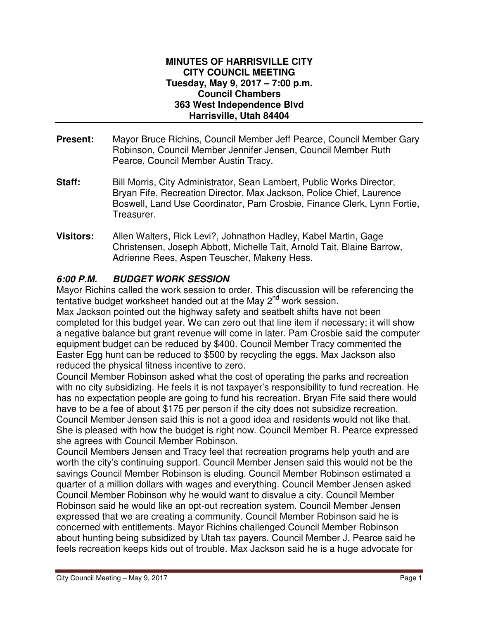#### **MINUTES OF HARRISVILLE CITY CITY COUNCIL MEETING Tuesday, May 9, 2017 – 7:00 p.m. Council Chambers 363 West Independence Blvd Harrisville, Utah 84404**

- **Present:** Mayor Bruce Richins, Council Member Jeff Pearce, Council Member Gary Robinson, Council Member Jennifer Jensen, Council Member Ruth Pearce, Council Member Austin Tracy.
- **Staff:** Bill Morris, City Administrator, Sean Lambert, Public Works Director, Bryan Fife, Recreation Director, Max Jackson, Police Chief, Laurence Boswell, Land Use Coordinator, Pam Crosbie, Finance Clerk, Lynn Fortie, Treasurer.
- **Visitors:** Allen Walters, Rick Levi?, Johnathon Hadley, Kabel Martin, Gage Christensen, Joseph Abbott, Michelle Tait, Arnold Tait, Blaine Barrow, Adrienne Rees, Aspen Teuscher, Makeny Hess.

### **6:00 P.M. BUDGET WORK SESSION**

Mayor Richins called the work session to order. This discussion will be referencing the tentative budget worksheet handed out at the May  $2^{nd}$  work session.

Max Jackson pointed out the highway safety and seatbelt shifts have not been completed for this budget year. We can zero out that line item if necessary; it will show a negative balance but grant revenue will come in later. Pam Crosbie said the computer equipment budget can be reduced by \$400. Council Member Tracy commented the Easter Egg hunt can be reduced to \$500 by recycling the eggs. Max Jackson also reduced the physical fitness incentive to zero.

Council Member Robinson asked what the cost of operating the parks and recreation with no city subsidizing. He feels it is not taxpayer's responsibility to fund recreation. He has no expectation people are going to fund his recreation. Bryan Fife said there would have to be a fee of about \$175 per person if the city does not subsidize recreation. Council Member Jensen said this is not a good idea and residents would not like that. She is pleased with how the budget is right now. Council Member R. Pearce expressed she agrees with Council Member Robinson.

Council Members Jensen and Tracy feel that recreation programs help youth and are worth the city's continuing support. Council Member Jensen said this would not be the savings Council Member Robinson is eluding. Council Member Robinson estimated a quarter of a million dollars with wages and everything. Council Member Jensen asked Council Member Robinson why he would want to disvalue a city. Council Member Robinson said he would like an opt-out recreation system. Council Member Jensen expressed that we are creating a community. Council Member Robinson said he is concerned with entitlements. Mayor Richins challenged Council Member Robinson about hunting being subsidized by Utah tax payers. Council Member J. Pearce said he feels recreation keeps kids out of trouble. Max Jackson said he is a huge advocate for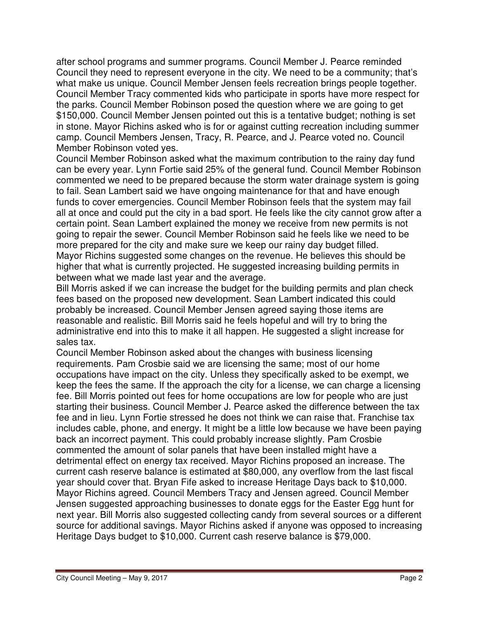after school programs and summer programs. Council Member J. Pearce reminded Council they need to represent everyone in the city. We need to be a community; that's what make us unique. Council Member Jensen feels recreation brings people together. Council Member Tracy commented kids who participate in sports have more respect for the parks. Council Member Robinson posed the question where we are going to get \$150,000. Council Member Jensen pointed out this is a tentative budget; nothing is set in stone. Mayor Richins asked who is for or against cutting recreation including summer camp. Council Members Jensen, Tracy, R. Pearce, and J. Pearce voted no. Council Member Robinson voted yes.

Council Member Robinson asked what the maximum contribution to the rainy day fund can be every year. Lynn Fortie said 25% of the general fund. Council Member Robinson commented we need to be prepared because the storm water drainage system is going to fail. Sean Lambert said we have ongoing maintenance for that and have enough funds to cover emergencies. Council Member Robinson feels that the system may fail all at once and could put the city in a bad sport. He feels like the city cannot grow after a certain point. Sean Lambert explained the money we receive from new permits is not going to repair the sewer. Council Member Robinson said he feels like we need to be more prepared for the city and make sure we keep our rainy day budget filled. Mayor Richins suggested some changes on the revenue. He believes this should be higher that what is currently projected. He suggested increasing building permits in between what we made last year and the average.

Bill Morris asked if we can increase the budget for the building permits and plan check fees based on the proposed new development. Sean Lambert indicated this could probably be increased. Council Member Jensen agreed saying those items are reasonable and realistic. Bill Morris said he feels hopeful and will try to bring the administrative end into this to make it all happen. He suggested a slight increase for sales tax.

Council Member Robinson asked about the changes with business licensing requirements. Pam Crosbie said we are licensing the same; most of our home occupations have impact on the city. Unless they specifically asked to be exempt, we keep the fees the same. If the approach the city for a license, we can charge a licensing fee. Bill Morris pointed out fees for home occupations are low for people who are just starting their business. Council Member J. Pearce asked the difference between the tax fee and in lieu. Lynn Fortie stressed he does not think we can raise that. Franchise tax includes cable, phone, and energy. It might be a little low because we have been paying back an incorrect payment. This could probably increase slightly. Pam Crosbie commented the amount of solar panels that have been installed might have a detrimental effect on energy tax received. Mayor Richins proposed an increase. The current cash reserve balance is estimated at \$80,000, any overflow from the last fiscal year should cover that. Bryan Fife asked to increase Heritage Days back to \$10,000. Mayor Richins agreed. Council Members Tracy and Jensen agreed. Council Member Jensen suggested approaching businesses to donate eggs for the Easter Egg hunt for next year. Bill Morris also suggested collecting candy from several sources or a different source for additional savings. Mayor Richins asked if anyone was opposed to increasing Heritage Days budget to \$10,000. Current cash reserve balance is \$79,000.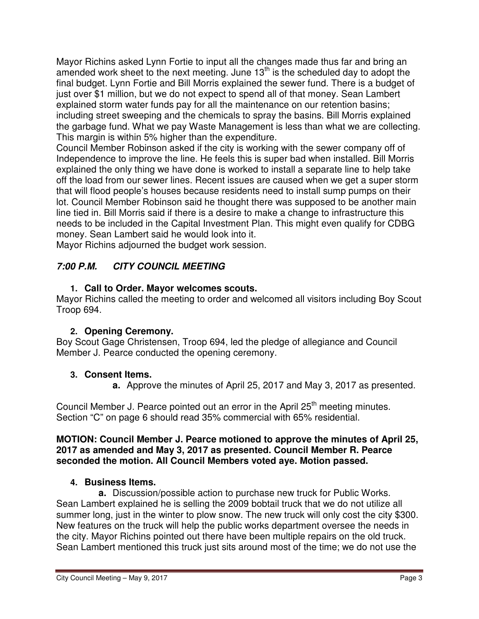Mayor Richins asked Lynn Fortie to input all the changes made thus far and bring an amended work sheet to the next meeting. June  $13<sup>th</sup>$  is the scheduled day to adopt the final budget. Lynn Fortie and Bill Morris explained the sewer fund. There is a budget of just over \$1 million, but we do not expect to spend all of that money. Sean Lambert explained storm water funds pay for all the maintenance on our retention basins; including street sweeping and the chemicals to spray the basins. Bill Morris explained the garbage fund. What we pay Waste Management is less than what we are collecting. This margin is within 5% higher than the expenditure.

Council Member Robinson asked if the city is working with the sewer company off of Independence to improve the line. He feels this is super bad when installed. Bill Morris explained the only thing we have done is worked to install a separate line to help take off the load from our sewer lines. Recent issues are caused when we get a super storm that will flood people's houses because residents need to install sump pumps on their lot. Council Member Robinson said he thought there was supposed to be another main line tied in. Bill Morris said if there is a desire to make a change to infrastructure this needs to be included in the Capital Investment Plan. This might even qualify for CDBG money. Sean Lambert said he would look into it.

Mayor Richins adjourned the budget work session.

# **7:00 P.M. CITY COUNCIL MEETING**

# **1. Call to Order. Mayor welcomes scouts.**

Mayor Richins called the meeting to order and welcomed all visitors including Boy Scout Troop 694.

# **2. Opening Ceremony.**

Boy Scout Gage Christensen, Troop 694, led the pledge of allegiance and Council Member J. Pearce conducted the opening ceremony.

# **3. Consent Items.**

**a.** Approve the minutes of April 25, 2017 and May 3, 2017 as presented.

Council Member J. Pearce pointed out an error in the April 25<sup>th</sup> meeting minutes. Section "C" on page 6 should read 35% commercial with 65% residential.

### **MOTION: Council Member J. Pearce motioned to approve the minutes of April 25, 2017 as amended and May 3, 2017 as presented. Council Member R. Pearce seconded the motion. All Council Members voted aye. Motion passed.**

# **4. Business Items.**

**a.** Discussion/possible action to purchase new truck for Public Works. Sean Lambert explained he is selling the 2009 bobtail truck that we do not utilize all summer long, just in the winter to plow snow. The new truck will only cost the city \$300. New features on the truck will help the public works department oversee the needs in the city. Mayor Richins pointed out there have been multiple repairs on the old truck. Sean Lambert mentioned this truck just sits around most of the time; we do not use the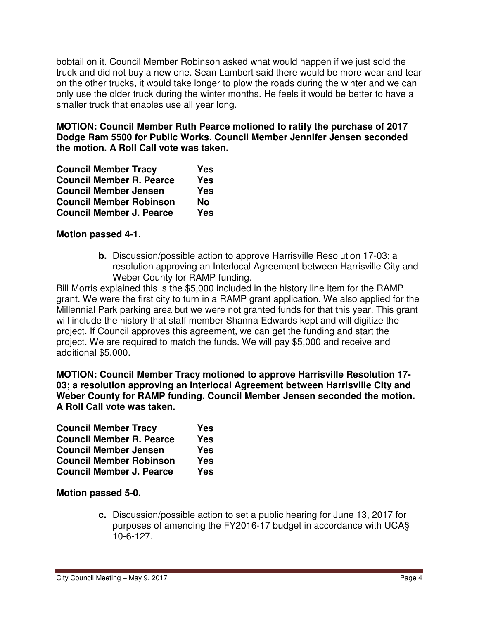bobtail on it. Council Member Robinson asked what would happen if we just sold the truck and did not buy a new one. Sean Lambert said there would be more wear and tear on the other trucks, it would take longer to plow the roads during the winter and we can only use the older truck during the winter months. He feels it would be better to have a smaller truck that enables use all year long.

**MOTION: Council Member Ruth Pearce motioned to ratify the purchase of 2017 Dodge Ram 5500 for Public Works. Council Member Jennifer Jensen seconded the motion. A Roll Call vote was taken.** 

| <b>Council Member Tracy</b>     | <b>Yes</b> |
|---------------------------------|------------|
| <b>Council Member R. Pearce</b> | <b>Yes</b> |
| <b>Council Member Jensen</b>    | <b>Yes</b> |
| <b>Council Member Robinson</b>  | <b>No</b>  |
| <b>Council Member J. Pearce</b> | <b>Yes</b> |

### **Motion passed 4-1.**

**b.** Discussion/possible action to approve Harrisville Resolution 17-03; a resolution approving an Interlocal Agreement between Harrisville City and Weber County for RAMP funding.

Bill Morris explained this is the \$5,000 included in the history line item for the RAMP grant. We were the first city to turn in a RAMP grant application. We also applied for the Millennial Park parking area but we were not granted funds for that this year. This grant will include the history that staff member Shanna Edwards kept and will digitize the project. If Council approves this agreement, we can get the funding and start the project. We are required to match the funds. We will pay \$5,000 and receive and additional \$5,000.

**MOTION: Council Member Tracy motioned to approve Harrisville Resolution 17- 03; a resolution approving an Interlocal Agreement between Harrisville City and Weber County for RAMP funding. Council Member Jensen seconded the motion. A Roll Call vote was taken.** 

| <b>Council Member Tracy</b>     | Yes        |
|---------------------------------|------------|
| <b>Council Member R. Pearce</b> | <b>Yes</b> |
| <b>Council Member Jensen</b>    | <b>Yes</b> |
| <b>Council Member Robinson</b>  | <b>Yes</b> |
| <b>Council Member J. Pearce</b> | <b>Yes</b> |

**Motion passed 5-0.** 

**c.** Discussion/possible action to set a public hearing for June 13, 2017 for purposes of amending the FY2016-17 budget in accordance with UCA§ 10-6-127.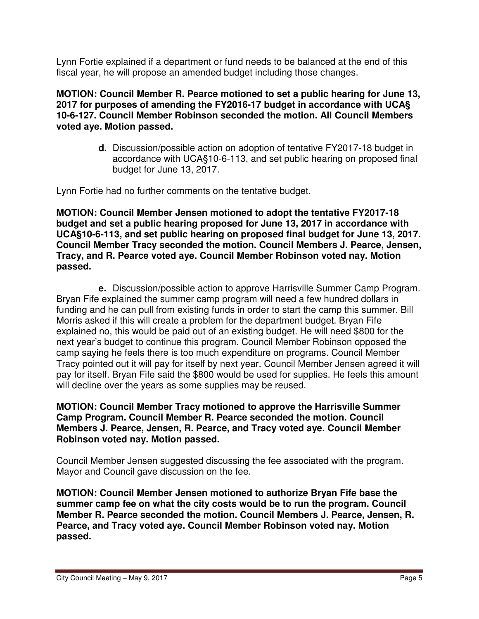Lynn Fortie explained if a department or fund needs to be balanced at the end of this fiscal year, he will propose an amended budget including those changes.

#### **MOTION: Council Member R. Pearce motioned to set a public hearing for June 13, 2017 for purposes of amending the FY2016-17 budget in accordance with UCA§ 10-6-127. Council Member Robinson seconded the motion. All Council Members voted aye. Motion passed.**

**d.** Discussion/possible action on adoption of tentative FY2017-18 budget in accordance with UCA§10-6-113, and set public hearing on proposed final budget for June 13, 2017.

Lynn Fortie had no further comments on the tentative budget.

**MOTION: Council Member Jensen motioned to adopt the tentative FY2017-18 budget and set a public hearing proposed for June 13, 2017 in accordance with UCA§10-6-113, and set public hearing on proposed final budget for June 13, 2017. Council Member Tracy seconded the motion. Council Members J. Pearce, Jensen, Tracy, and R. Pearce voted aye. Council Member Robinson voted nay. Motion passed.** 

**e.** Discussion/possible action to approve Harrisville Summer Camp Program. Bryan Fife explained the summer camp program will need a few hundred dollars in funding and he can pull from existing funds in order to start the camp this summer. Bill Morris asked if this will create a problem for the department budget. Bryan Fife explained no, this would be paid out of an existing budget. He will need \$800 for the next year's budget to continue this program. Council Member Robinson opposed the camp saying he feels there is too much expenditure on programs. Council Member Tracy pointed out it will pay for itself by next year. Council Member Jensen agreed it will pay for itself. Bryan Fife said the \$800 would be used for supplies. He feels this amount will decline over the years as some supplies may be reused.

#### **MOTION: Council Member Tracy motioned to approve the Harrisville Summer Camp Program. Council Member R. Pearce seconded the motion. Council Members J. Pearce, Jensen, R. Pearce, and Tracy voted aye. Council Member Robinson voted nay. Motion passed.**

Council Member Jensen suggested discussing the fee associated with the program. Mayor and Council gave discussion on the fee.

**MOTION: Council Member Jensen motioned to authorize Bryan Fife base the summer camp fee on what the city costs would be to run the program. Council Member R. Pearce seconded the motion. Council Members J. Pearce, Jensen, R. Pearce, and Tracy voted aye. Council Member Robinson voted nay. Motion passed.**